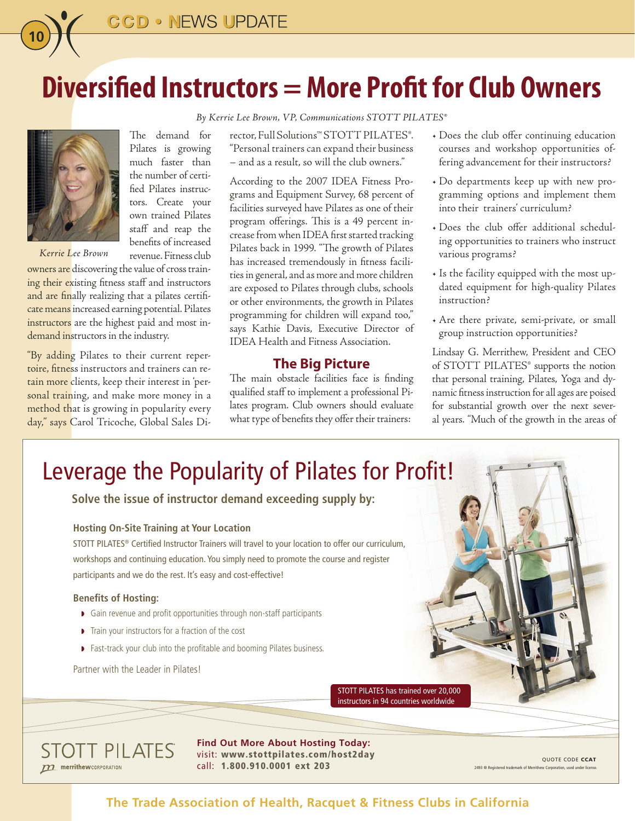

*By Kerrie Lee Brown, VP, Communications STOTT PILATES®*



*Kerrie Lee Brown*

**10**

Pilates is growing much faster than the number of certified Pilates instructors. Create your own trained Pilates staff and reap the benefits of increased revenue. Fitness club

The demand for

owners are discovering the value of cross training their existing fitness staff and instructors and are finally realizing that a pilates certificate means increased earning potential. Pilates instructors are the highest paid and most in-

demand instructors in the industry.

"By adding Pilates to their current repertoire, fitness instructors and trainers can retain more clients, keep their interest in 'personal training, and make more money in a method that is growing in popularity every day," says Carol Tricoche, Global Sales Director, Full Solutions™ STOTT PILATES®. "Personal trainers can expand their business – and as a result, so will the club owners."

According to the 2007 IDEA Fitness Programs and Equipment Survey, 68 percent of facilities surveyed have Pilates as one of their program offerings. This is a 49 percent increase from when IDEA first started tracking Pilates back in 1999. "The growth of Pilates has increased tremendously in fitness facilities in general, and as more and more children are exposed to Pilates through clubs, schools or other environments, the growth in Pilates programming for children will expand too," says Kathie Davis, Executive Director of IDEA Health and Fitness Association.

#### **The Big Picture**

The main obstacle facilities face is finding qualified staff to implement a professional Pilates program. Club owners should evaluate what type of benefits they offer their trainers:

- Does the club offer continuing education courses and workshop opportunities offering advancement for their instructors?
- Do departments keep up with new programming options and implement them into their trainers' curriculum?
- Does the club offer additional scheduling opportunities to trainers who instruct various programs?
- Is the facility equipped with the most updated equipment for high-quality Pilates instruction?
- Are there private, semi-private, or small group instruction opportunities?

Lindsay G. Merrithew, President and CEO of STOTT PILATES® supports the notion that personal training, Pilates, Yoga and dynamic fitness instruction for all ages are poised for substantial growth over the next several years. "Much of the growth in the areas of

# Leverage the Popularity of Pilates for Profit!

**Solve the issue of instructor demand exceeding supply by:**

#### **Hosting On-Site Training at Your Location**

STOTT PILATES® Certified Instructor Trainers will travel to your location to offer our curriculum, workshops and continuing education. You simply need to promote the course and register participants and we do the rest. It's easy and cost-effective!

#### **Benefits of Hosting:**

- � � Gain revenue and profit opportunities through non-staff participants
- $\triangleright$  Train your instructors for a fraction of the cost
- **•** Fast-track your club into the profitable and booming Pilates business.

Partner with the Leader in Pilates!

STOTT PILATES has trained over 20,000 instructors in 94 countries worldwide

**STOTT PILATES** merrithewCORPORATION

**Find Out More About Hosting Today:**  visit: www.stottpilates.com/host2day  $\text{call: } 1.800.910.0001 \text{ ext } 203$   $\text{203}$   $\text{2493} \text{ @ Research to the 2493 \text{ @ Research to the 2493 \text{ @ Research to the 2493 \text{ @ Research to the 2493 \text{ @ Research to the 2493 \text{ @ Research to the 2493 \text{ @ Research to the 2493 \text{ @ Research to the 2493 \text{ @ Research to the 2493 \text{ @ Research to the 2493 \text{ @Ricated to the 2493 \text{ @Ricated to the 2493 \text{ @Ricated to the 2493 \text{ @Ricated$ 

QUOTE CODE CCAT

## **The Trade Association of Health, Racquet & Fitness Clubs in California**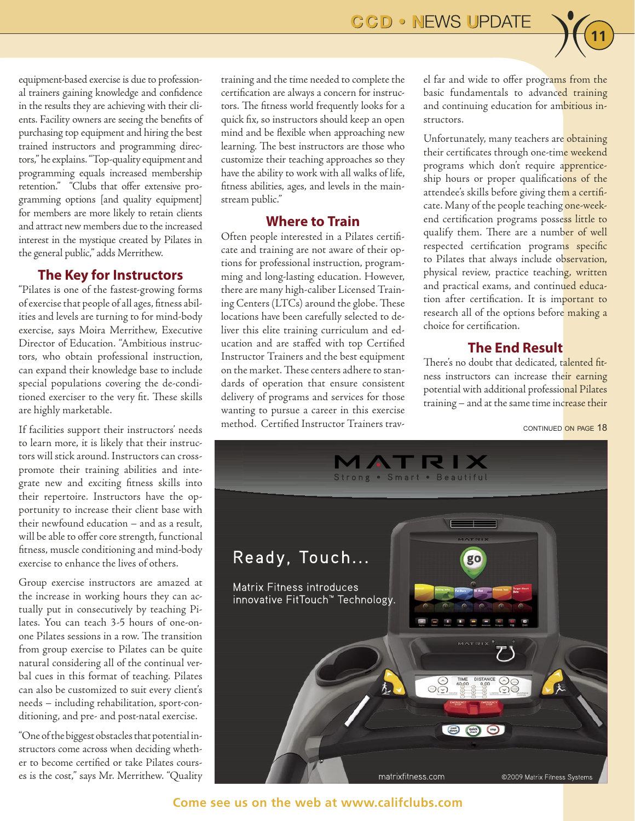

equipment-based exercise is due to professional trainers gaining knowledge and confidence in the results they are achieving with their clients. Facility owners are seeing the benefits of purchasing top equipment and hiring the best trained instructors and programming directors," he explains. "Top-quality equipment and programming equals increased membership retention." "Clubs that offer extensive programming options [and quality equipment] for members are more likely to retain clients and attract new members due to the increased interest in the mystique created by Pilates in the general public," adds Merrithew.

#### **The Key for Instructors**

"Pilates is one of the fastest-growing forms of exercise that people of all ages, fitness abilities and levels are turning to for mind-body exercise, says Moira Merrithew, Executive Director of Education. "Ambitious instructors, who obtain professional instruction, can expand their knowledge base to include special populations covering the de-conditioned exerciser to the very fit. These skills are highly marketable.

If facilities support their instructors' needs to learn more, it is likely that their instructors will stick around. Instructors can crosspromote their training abilities and integrate new and exciting fitness skills into their repertoire. Instructors have the opportunity to increase their client base with their newfound education – and as a result, will be able to offer core strength, functional fitness, muscle conditioning and mind-body exercise to enhance the lives of others.

Group exercise instructors are amazed at the increase in working hours they can actually put in consecutively by teaching Pilates. You can teach 3-5 hours of one-onone Pilates sessions in a row. The transition from group exercise to Pilates can be quite natural considering all of the continual verbal cues in this format of teaching. Pilates can also be customized to suit every client's needs – including rehabilitation, sport-conditioning, and pre- and post-natal exercise.

"One of the biggest obstacles that potential instructors come across when deciding whether to become certified or take Pilates courses is the cost," says Mr. Merrithew. "Quality training and the time needed to complete the certification are always a concern for instructors. The fitness world frequently looks for a quick fix, so instructors should keep an open mind and be flexible when approaching new learning. The best instructors are those who customize their teaching approaches so they have the ability to work with all walks of life, fitness abilities, ages, and levels in the mainstream public."

## **Where to Train**

Often people interested in a Pilates certificate and training are not aware of their options for professional instruction, programming and long-lasting education. However, there are many high-caliber Licensed Training Centers (LTCs) around the globe. These locations have been carefully selected to deliver this elite training curriculum and education and are staffed with top Certified Instructor Trainers and the best equipment on the market. These centers adhere to standards of operation that ensure consistent delivery of programs and services for those wanting to pursue a career in this exercise method. Certified Instructor Trainers travel far and wide to offer programs from the basic fundamentals to advanced training and continuing education for ambitious instructors.

Unfortunately, many teachers are obtaining their certificates through one-time weekend programs which don't require apprenticeship hours or proper qualifications of the attendee's skills before giving them a certificate. Many of the people teaching one-weekend certification programs possess little to qualify them. There are a number of well respected certification programs specific to Pilates that always include observation, physical review, practice teaching, written and practical exams, and continued education after certification. It is important to research all of the options before making a choice for certification.

## **The End Result**

There's no doubt that dedicated, talented fitness instructors can increase their earning potential with additional professional Pilates training – and at the same time increase their

CONTINUED ON PAGE 18



**Come see us on the web at www.califclubs.com**